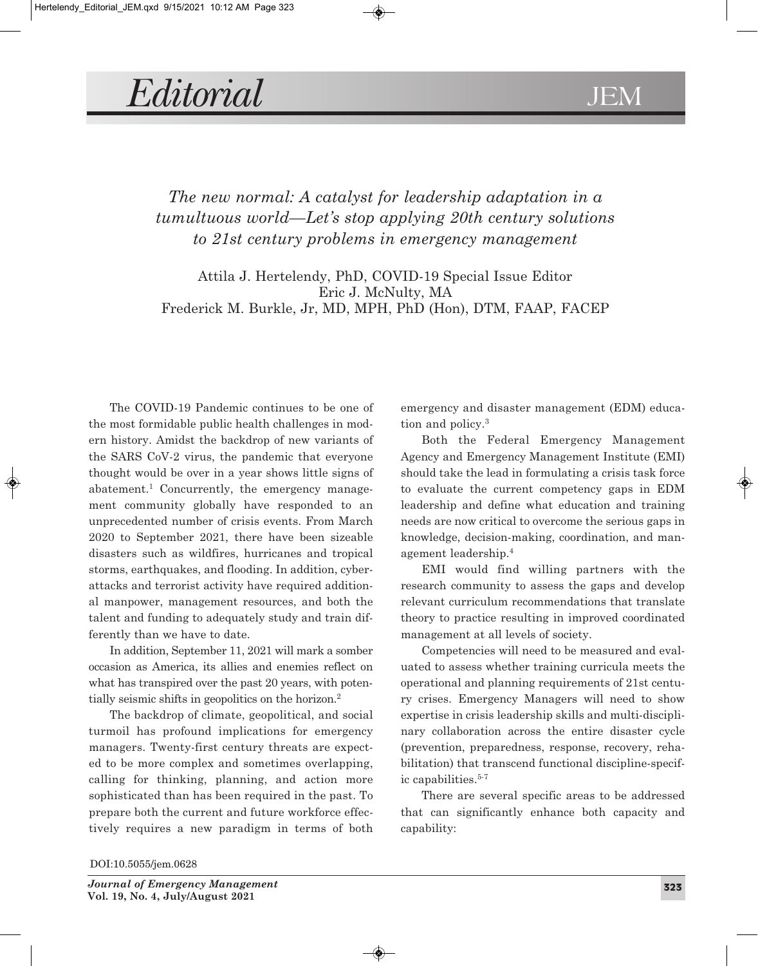## *Editorial* JEM

## *The new normal: A catalyst for leadership adaptation in a tumultuous world—Let's stop applying 20th century solutions to 21st century problems in emergency management*

Attila J. Hertelendy, PhD, COVID-19 Special Issue Editor Eric J. McNulty, MA Frederick M. Burkle, Jr, MD, MPH, PhD (Hon), DTM, FAAP, FACEP

The COVID-19 Pandemic continues to be one of the most formidable public health challenges in modern history. Amidst the backdrop of new variants of the SARS CoV-2 virus, the pandemic that everyone thought would be over in a year shows little signs of abatement. <sup>1</sup> Concurrently, the emergency management community globally have responded to an unprecedented number of crisis events. From March 2020 to September 2021, there have been sizeable disasters such as wildfires, hurricanes and tropical storms, earthquakes, and flooding. In addition, cyberattacks and terrorist activity have required additional manpower, management resources, and both the talent and funding to adequately study and train differently than we have to date.

In addition, September 11, 2021 will mark a somber occasion as America, its allies and enemies reflect on what has transpired over the past 20 years, with potentially seismic shifts in geopolitics on the horizon. 2

The backdrop of climate, geopolitical, and social turmoil has profound implications for emergency managers. Twenty-first century threats are expected to be more complex and sometimes overlapping, calling for thinking, planning, and action more sophisticated than has been required in the past. To prepare both the current and future workforce effectively requires a new paradigm in terms of both emergency and disaster management (EDM) education and policy. 3

Both the Federal Emergency Management Agency and Emergency Management Institute (EMI) should take the lead in formulating a crisis task force to evaluate the current competency gaps in EDM leadership and define what education and training needs are now critical to overcome the serious gaps in knowledge, decision-making, coordination, and management leadership. 4

EMI would find willing partners with the research community to assess the gaps and develop relevant curriculum recommendations that translate theory to practice resulting in improved coordinated management at all levels of society.

Competencies will need to be measured and evaluated to assess whether training curricula meets the operational and planning requirements of 21st century crises. Emergency Managers will need to show expertise in crisis leadership skills and multi-disciplinary collaboration across the entire disaster cycle (prevention, preparedness, response, recovery, rehabilitation) that transcend functional discipline-specific capabilities. 5-7

There are several specific areas to be addressed that can significantly enhance both capacity and capability:

DOI:10.5055/jem.0628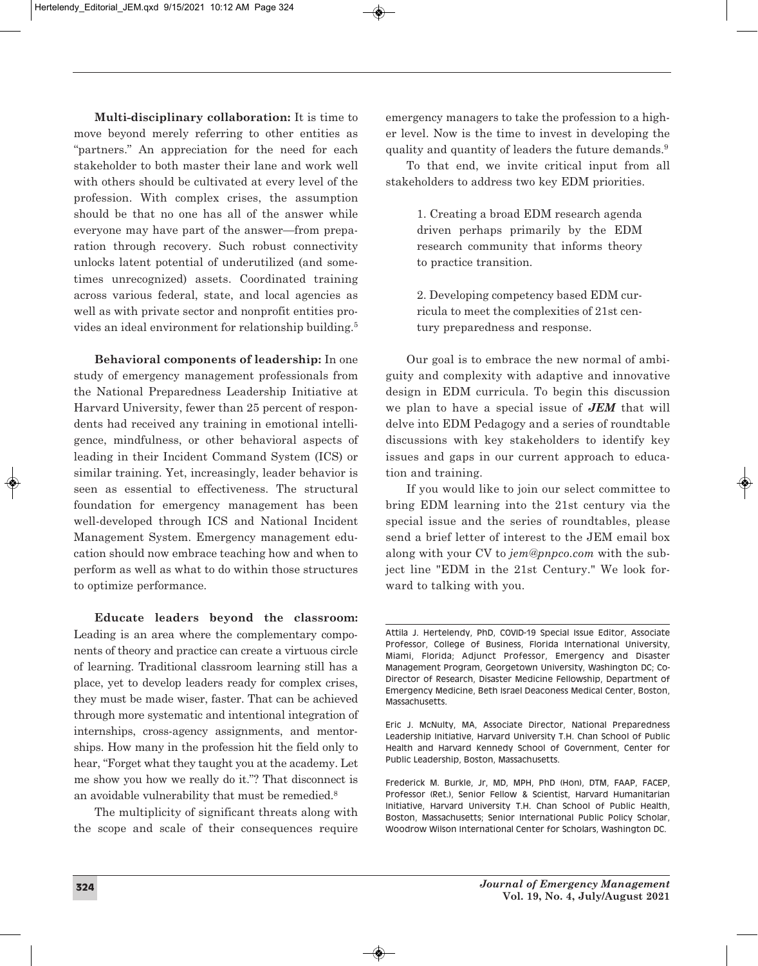**Multi-disciplinary collaboration:** It is time to move beyond merely referring to other entities as "partners." An appreciation for the need for each stakeholder to both master their lane and work well with others should be cultivated at every level of the profession. With complex crises, the assumption should be that no one has all of the answer while everyone may have part of the answer—from preparation through recovery. Such robust connectivity unlocks latent potential of underutilized (and sometimes unrecognized) assets. Coordinated training across various federal, state, and local agencies as well as with private sector and nonprofit entities provides an ideal environment for relationship building. 5

**Behavioral components of leadership:** In one study of emergency management professionals from the National Preparedness Leadership Initiative at Harvard University, fewer than 25 percent of respondents had received any training in emotional intelligence, mindfulness, or other behavioral aspects of leading in their Incident Command System (ICS) or similar training. Yet, increasingly, leader behavior is seen as essential to effectiveness. The structural foundation for emergency management has been well-developed through ICS and National Incident Management System. Emergency management education should now embrace teaching how and when to perform as well as what to do within those structures to optimize performance.

**Educate leaders beyond the classroom:** Leading is an area where the complementary components of theory and practice can create a virtuous circle of learning. Traditional classroom learning still has a place, yet to develop leaders ready for complex crises, they must be made wiser, faster. That can be achieved through more systematic and intentional integration of internships, cross-agency assignments, and mentorships. How many in the profession hit the field only to hear, "Forget what they taught you at the academy. Let me show you how we really do it."? That disconnect is an avoidable vulnerability that must be remedied.<sup>8</sup>

The multiplicity of significant threats along with the scope and scale of their consequences require emergency managers to take the profession to a higher level. Now is the time to invest in developing the quality and quantity of leaders the future demands. 9

To that end, we invite critical input from all stakeholders to address two key EDM priorities.

> 1. Creating a broad EDM research agenda driven perhaps primarily by the EDM research community that informs theory to practice transition.

> 2. Developing competency based EDM curricula to meet the complexities of 21st century preparedness and response.

Our goal is to embrace the new normal of ambiguity and complexity with adaptive and innovative design in EDM curricula. To begin this discussion we plan to have a special issue of *JEM* that will delve into EDM Pedagogy and a series of roundtable discussions with key stakeholders to identify key issues and gaps in our current approach to education and training.

If you would like to join our select committee to bring EDM learning into the 21st century via the special issue and the series of roundtables, please send a brief letter of interest to the JEM email box along with your CV to *jem@pnpco.com* with the subject line "EDM in the 21st Century." We look forward to talking with you.

Eric J. McNulty, MA, Associate Director, National Preparedness Leadership Initiative, Harvard University T.H. Chan School of Public Health and Harvard Kennedy School of Government, Center for Public Leadership, Boston, Massachusetts.

Frederick M. Burkle, Jr, MD, MPH, PhD (Hon), DTM, FAAP, FACEP, Professor (Ret.), Senior Fellow & Scientist, Harvard Humanitarian Initiative, Harvard University T.H. Chan School of Public Health, Boston, Massachusetts; Senior International Public Policy Scholar, Woodrow Wilson International Center for Scholars, Washington DC.

Attila J. Hertelendy, PhD, COVID-19 Special Issue Editor, Associate Professor, College of Business, Florida International University, Miami, Florida; Adjunct Professor, Emergency and Disaster Management Program, Georgetown University, Washington DC; Co-Director of Research, Disaster Medicine Fellowship, Department of Emergency Medicine, Beth Israel Deaconess Medical Center, Boston, Massachusetts.